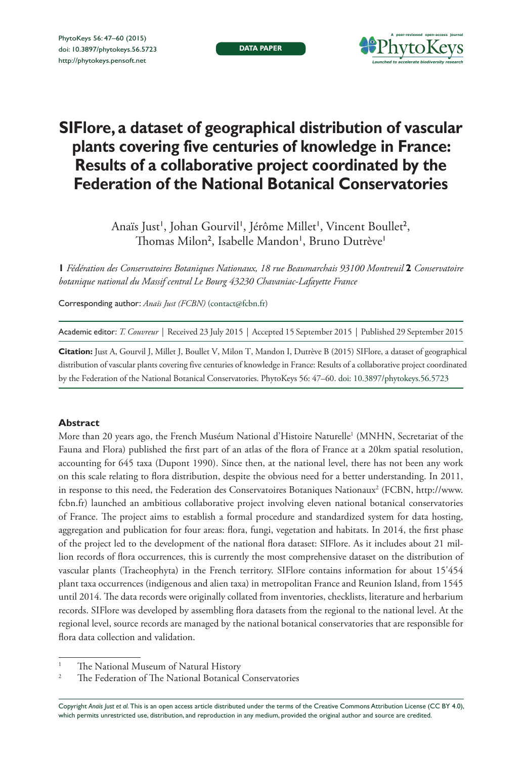**DATA PAPER**



# **SIFlore, a dataset of geographical distribution of vascular plants covering five centuries of knowledge in France: Results of a collaborative project coordinated by the Federation of the National Botanical Conservatories**

Anaïs Just', Johan Gourvil', Jérôme Millet', Vincent Boullet<sup>2</sup>, Thomas Milon<sup>2</sup>, Isabelle Mandon', Bruno Dutrève'

**1** *Fédération des Conservatoires Botaniques Nationaux, 18 rue Beaumarchais 93100 Montreuil* **2** *Conservatoire botanique national du Massif central Le Bourg 43230 Chavaniac-Lafayette France*

Corresponding author: *Anaïs Just (FCBN)* ([contact@fcbn.fr\)](mailto:contact@fcbn.fr)

Academic editor: *T. Couvreur* | Received 23 July 2015 | Accepted 15 September 2015 | Published 29 September 2015

**Citation:** Just A, Gourvil J, Millet J, Boullet V, Milon T, Mandon I, Dutrève B (2015) SIFlore, a dataset of geographical distribution of vascular plants covering five centuries of knowledge in France: Results of a collaborative project coordinated by the Federation of the National Botanical Conservatories. PhytoKeys 56: 47–60. [doi: 10.3897/phytokeys.56.5723](http://dx.doi.org/10.3897/phytokeys.56.5723)

#### **Abstract**

More than 20 years ago, the French Muséum National d'Histoire Naturelle' (MNHN, Secretariat of the Fauna and Flora) published the first part of an atlas of the flora of France at a 20km spatial resolution, accounting for 645 taxa (Dupont 1990). Since then, at the national level, there has not been any work on this scale relating to flora distribution, despite the obvious need for a better understanding. In 2011, in response to this need, the Federation des Conservatoires Botaniques Nationaux2 (FCBN, [http://www.](http://www.fcbn.fr) [fcbn.fr\)](http://www.fcbn.fr) launched an ambitious collaborative project involving eleven national botanical conservatories of France. The project aims to establish a formal procedure and standardized system for data hosting, aggregation and publication for four areas: flora, fungi, vegetation and habitats. In 2014, the first phase of the project led to the development of the national flora dataset: SIFlore. As it includes about 21 million records of flora occurrences, this is currently the most comprehensive dataset on the distribution of vascular plants (Tracheophyta) in the French territory. SIFlore contains information for about 15'454 plant taxa occurrences (indigenous and alien taxa) in metropolitan France and Reunion Island, from 1545 until 2014. The data records were originally collated from inventories, checklists, literature and herbarium records. SIFlore was developed by assembling flora datasets from the regional to the national level. At the regional level, source records are managed by the national botanical conservatories that are responsible for flora data collection and validation.

Copyright *Anaïs Just et al.* This is an open access article distributed under the terms of the [Creative Commons Attribution License \(CC BY 4.0\),](http://creativecommons.org/licenses/by/4.0/) which permits unrestricted use, distribution, and reproduction in any medium, provided the original author and source are credited.

<sup>&</sup>lt;sup>1</sup> The National Museum of Natural History<br><sup>2</sup> The Endeavism of The National Bosonical

The Federation of The National Botanical Conservatories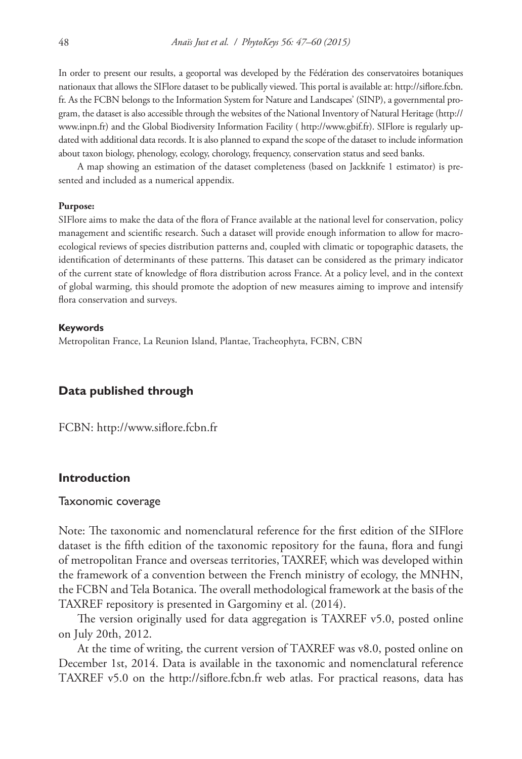In order to present our results, a geoportal was developed by the Fédération des conservatoires botaniques nationaux that allows the SIFlore dataset to be publically viewed. This portal is available at: [http://siflore.fcbn.](http://siflore.fcbn.fr) [fr](http://siflore.fcbn.fr). As the FCBN belongs to the Information System for Nature and Landscapes' (SINP), a governmental program, the dataset is also accessible through the websites of the National Inventory of Natural Heritage [\(http://](http://www.inpn.fr) [www.inpn.fr\)](http://www.inpn.fr) and the Global Biodiversity Information Facility ( [http://www.gbif.fr\)](http://www.gbif.fr). SIFlore is regularly updated with additional data records. It is also planned to expand the scope of the dataset to include information about taxon biology, phenology, ecology, chorology, frequency, conservation status and seed banks.

A map showing an estimation of the dataset completeness (based on Jackknife 1 estimator) is presented and included as a numerical appendix.

#### **Purpose:**

SIFlore aims to make the data of the flora of France available at the national level for conservation, policy management and scientific research. Such a dataset will provide enough information to allow for macroecological reviews of species distribution patterns and, coupled with climatic or topographic datasets, the identification of determinants of these patterns. This dataset can be considered as the primary indicator of the current state of knowledge of flora distribution across France. At a policy level, and in the context of global warming, this should promote the adoption of new measures aiming to improve and intensify flora conservation and surveys.

#### **Keywords**

Metropolitan France, La Reunion Island, Plantae, Tracheophyta, FCBN, CBN

## **Data published through**

FCBN: <http://www.siflore.fcbn.fr>

## **Introduction**

#### Taxonomic coverage

Note: The taxonomic and nomenclatural reference for the first edition of the SIFlore dataset is the fifth edition of the taxonomic repository for the fauna, flora and fungi of metropolitan France and overseas territories, TAXREF, which was developed within the framework of a convention between the French ministry of ecology, the MNHN, the FCBN and Tela Botanica. The overall methodological framework at the basis of the TAXREF repository is presented in Gargominy et al. (2014).

The version originally used for data aggregation is TAXREF v5.0, posted online on July 20th, 2012.

At the time of writing, the current version of TAXREF was v8.0, posted online on December 1st, 2014. Data is available in the taxonomic and nomenclatural reference TAXREF v5.0 on the <http://siflore.fcbn.fr>web atlas. For practical reasons, data has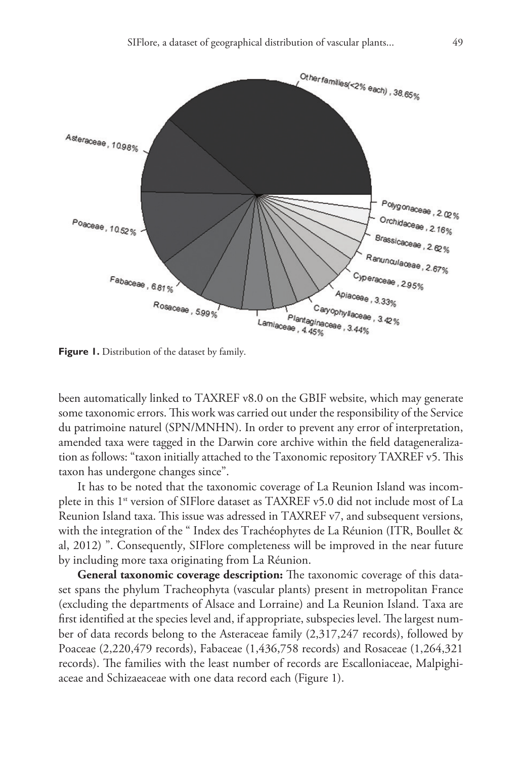

Figure 1. Distribution of the dataset by family.

been automatically linked to TAXREF v8.0 on the GBIF website, which may generate some taxonomic errors. This work was carried out under the responsibility of the Service du patrimoine naturel (SPN/MNHN). In order to prevent any error of interpretation, amended taxa were tagged in the Darwin core archive within the field datageneralization as follows: "taxon initially attached to the Taxonomic repository TAXREF v5. This taxon has undergone changes since".

It has to be noted that the taxonomic coverage of La Reunion Island was incomplete in this 1<sup>st</sup> version of SIFlore dataset as TAXREF v5.0 did not include most of La Reunion Island taxa. This issue was adressed in TAXREF v7, and subsequent versions, with the integration of the " Index des Trachéophytes de La Réunion (ITR, Boullet & al, 2012) ". Consequently, SIFlore completeness will be improved in the near future by including more taxa originating from La Réunion.

**General taxonomic coverage description:** The taxonomic coverage of this dataset spans the phylum Tracheophyta (vascular plants) present in metropolitan France (excluding the departments of Alsace and Lorraine) and La Reunion Island. Taxa are first identified at the species level and, if appropriate, subspecies level. The largest number of data records belong to the Asteraceae family (2,317,247 records), followed by Poaceae (2,220,479 records), Fabaceae (1,436,758 records) and Rosaceae (1,264,321 records). The families with the least number of records are Escalloniaceae, Malpighiaceae and Schizaeaceae with one data record each (Figure 1).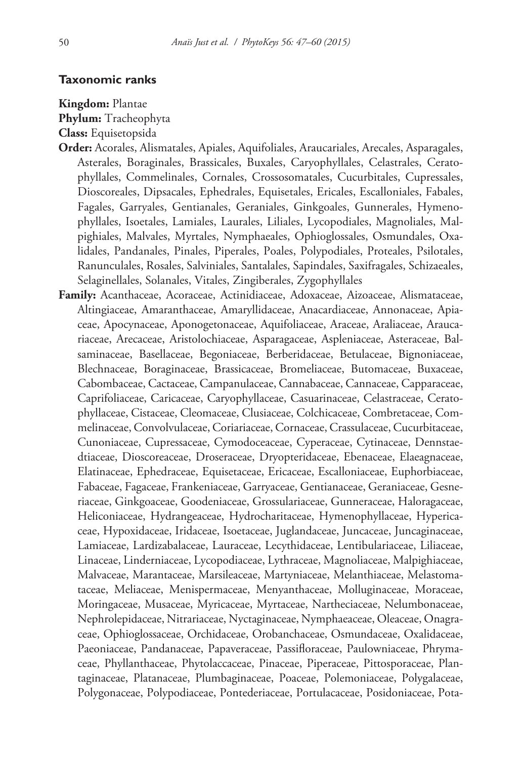## **Taxonomic ranks**

**Kingdom:** Plantae

**Phylum:** Tracheophyta

- **Class:** Equisetopsida
- **Order:** Acorales, Alismatales, Apiales, Aquifoliales, Araucariales, Arecales, Asparagales, Asterales, Boraginales, Brassicales, Buxales, Caryophyllales, Celastrales, Ceratophyllales, Commelinales, Cornales, Crossosomatales, Cucurbitales, Cupressales, Dioscoreales, Dipsacales, Ephedrales, Equisetales, Ericales, Escalloniales, Fabales, Fagales, Garryales, Gentianales, Geraniales, Ginkgoales, Gunnerales, Hymenophyllales, Isoetales, Lamiales, Laurales, Liliales, Lycopodiales, Magnoliales, Malpighiales, Malvales, Myrtales, Nymphaeales, Ophioglossales, Osmundales, Oxalidales, Pandanales, Pinales, Piperales, Poales, Polypodiales, Proteales, Psilotales, Ranunculales, Rosales, Salviniales, Santalales, Sapindales, Saxifragales, Schizaeales, Selaginellales, Solanales, Vitales, Zingiberales, Zygophyllales
- **Family:** Acanthaceae, Acoraceae, Actinidiaceae, Adoxaceae, Aizoaceae, Alismataceae, Altingiaceae, Amaranthaceae, Amaryllidaceae, Anacardiaceae, Annonaceae, Apiaceae, Apocynaceae, Aponogetonaceae, Aquifoliaceae, Araceae, Araliaceae, Araucariaceae, Arecaceae, Aristolochiaceae, Asparagaceae, Aspleniaceae, Asteraceae, Balsaminaceae, Basellaceae, Begoniaceae, Berberidaceae, Betulaceae, Bignoniaceae, Blechnaceae, Boraginaceae, Brassicaceae, Bromeliaceae, Butomaceae, Buxaceae, Cabombaceae, Cactaceae, Campanulaceae, Cannabaceae, Cannaceae, Capparaceae, Caprifoliaceae, Caricaceae, Caryophyllaceae, Casuarinaceae, Celastraceae, Ceratophyllaceae, Cistaceae, Cleomaceae, Clusiaceae, Colchicaceae, Combretaceae, Commelinaceae, Convolvulaceae, Coriariaceae, Cornaceae, Crassulaceae, Cucurbitaceae, Cunoniaceae, Cupressaceae, Cymodoceaceae, Cyperaceae, Cytinaceae, Dennstaedtiaceae, Dioscoreaceae, Droseraceae, Dryopteridaceae, Ebenaceae, Elaeagnaceae, Elatinaceae, Ephedraceae, Equisetaceae, Ericaceae, Escalloniaceae, Euphorbiaceae, Fabaceae, Fagaceae, Frankeniaceae, Garryaceae, Gentianaceae, Geraniaceae, Gesneriaceae, Ginkgoaceae, Goodeniaceae, Grossulariaceae, Gunneraceae, Haloragaceae, Heliconiaceae, Hydrangeaceae, Hydrocharitaceae, Hymenophyllaceae, Hypericaceae, Hypoxidaceae, Iridaceae, Isoetaceae, Juglandaceae, Juncaceae, Juncaginaceae, Lamiaceae, Lardizabalaceae, Lauraceae, Lecythidaceae, Lentibulariaceae, Liliaceae, Linaceae, Linderniaceae, Lycopodiaceae, Lythraceae, Magnoliaceae, Malpighiaceae, Malvaceae, Marantaceae, Marsileaceae, Martyniaceae, Melanthiaceae, Melastomataceae, Meliaceae, Menispermaceae, Menyanthaceae, Molluginaceae, Moraceae, Moringaceae, Musaceae, Myricaceae, Myrtaceae, Nartheciaceae, Nelumbonaceae, Nephrolepidaceae, Nitrariaceae, Nyctaginaceae, Nymphaeaceae, Oleaceae, Onagraceae, Ophioglossaceae, Orchidaceae, Orobanchaceae, Osmundaceae, Oxalidaceae, Paeoniaceae, Pandanaceae, Papaveraceae, Passifloraceae, Paulowniaceae, Phrymaceae, Phyllanthaceae, Phytolaccaceae, Pinaceae, Piperaceae, Pittosporaceae, Plantaginaceae, Platanaceae, Plumbaginaceae, Poaceae, Polemoniaceae, Polygalaceae, Polygonaceae, Polypodiaceae, Pontederiaceae, Portulacaceae, Posidoniaceae, Pota-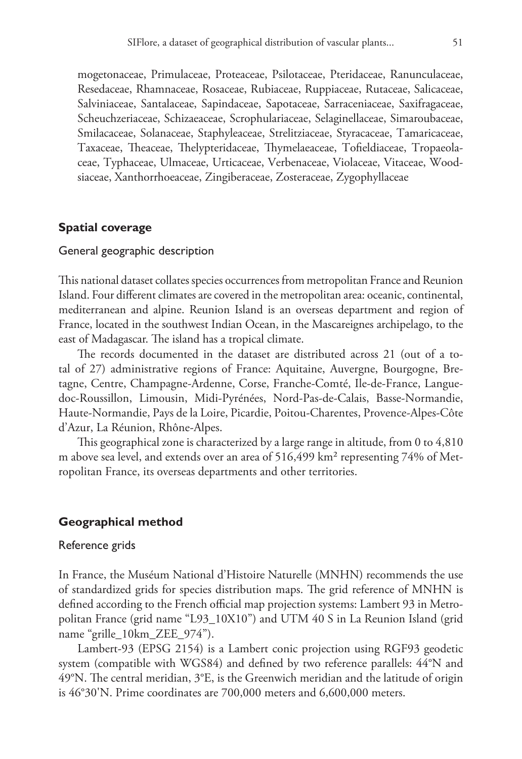mogetonaceae, Primulaceae, Proteaceae, Psilotaceae, Pteridaceae, Ranunculaceae, Resedaceae, Rhamnaceae, Rosaceae, Rubiaceae, Ruppiaceae, Rutaceae, Salicaceae, Salviniaceae, Santalaceae, Sapindaceae, Sapotaceae, Sarraceniaceae, Saxifragaceae, Scheuchzeriaceae, Schizaeaceae, Scrophulariaceae, Selaginellaceae, Simaroubaceae, Smilacaceae, Solanaceae, Staphyleaceae, Strelitziaceae, Styracaceae, Tamaricaceae, Taxaceae, Theaceae, Thelypteridaceae, Thymelaeaceae, Tofieldiaceae, Tropaeolaceae, Typhaceae, Ulmaceae, Urticaceae, Verbenaceae, Violaceae, Vitaceae, Woodsiaceae, Xanthorrhoeaceae, Zingiberaceae, Zosteraceae, Zygophyllaceae

## **Spatial coverage**

## General geographic description

This national dataset collates species occurrences from metropolitan France and Reunion Island. Four different climates are covered in the metropolitan area: oceanic, continental, mediterranean and alpine. Reunion Island is an overseas department and region of France, located in the southwest Indian Ocean, in the Mascareignes archipelago, to the east of Madagascar. The island has a tropical climate.

The records documented in the dataset are distributed across 21 (out of a total of 27) administrative regions of France: Aquitaine, Auvergne, Bourgogne, Bretagne, Centre, Champagne-Ardenne, Corse, Franche-Comté, Ile-de-France, Languedoc-Roussillon, Limousin, Midi-Pyrénées, Nord-Pas-de-Calais, Basse-Normandie, Haute-Normandie, Pays de la Loire, Picardie, Poitou-Charentes, Provence-Alpes-Côte d'Azur, La Réunion, Rhône-Alpes.

This geographical zone is characterized by a large range in altitude, from 0 to 4,810 m above sea level, and extends over an area of 516,499 km² representing 74% of Metropolitan France, its overseas departments and other territories.

## **Geographical method**

## Reference grids

In France, the Muséum National d'Histoire Naturelle (MNHN) recommends the use of standardized grids for species distribution maps. The grid reference of MNHN is defined according to the French official map projection systems: Lambert 93 in Metropolitan France (grid name "L93\_10X10") and UTM 40 S in La Reunion Island (grid name "grille\_10km\_ZEE\_974").

Lambert-93 (EPSG 2154) is a Lambert conic projection using RGF93 geodetic system (compatible with WGS84) and defined by two reference parallels: 44°N and 49°N. The central meridian, 3°E, is the Greenwich meridian and the latitude of origin is 46°30'N. Prime coordinates are 700,000 meters and 6,600,000 meters.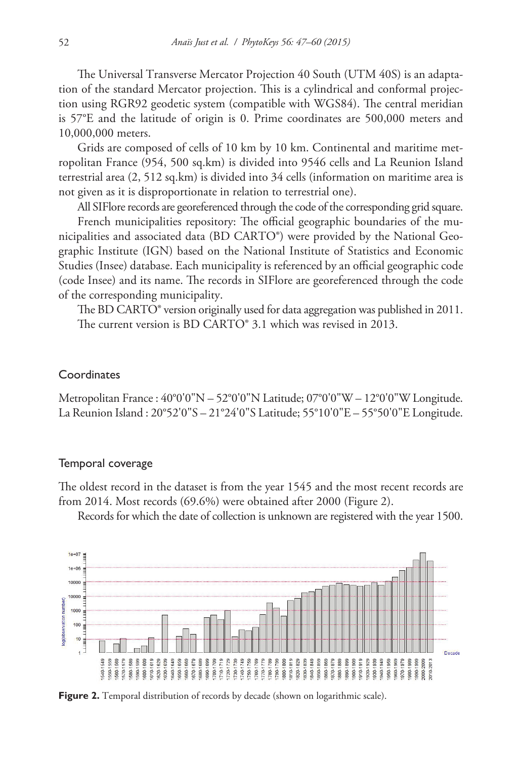The Universal Transverse Mercator Projection 40 South (UTM 40S) is an adaptation of the standard Mercator projection. This is a cylindrical and conformal projection using RGR92 geodetic system (compatible with WGS84). The central meridian is 57°E and the latitude of origin is 0. Prime coordinates are 500,000 meters and 10,000,000 meters.

Grids are composed of cells of 10 km by 10 km. Continental and maritime metropolitan France (954, 500 sq.km) is divided into 9546 cells and La Reunion Island terrestrial area (2, 512 sq.km) is divided into 34 cells (information on maritime area is not given as it is disproportionate in relation to terrestrial one).

All SIFlore records are georeferenced through the code of the corresponding grid square.

French municipalities repository: The official geographic boundaries of the municipalities and associated data (BD CARTO®) were provided by the National Geographic Institute (IGN) based on the National Institute of Statistics and Economic Studies (Insee) database. Each municipality is referenced by an official geographic code (code Insee) and its name. The records in SIFlore are georeferenced through the code of the corresponding municipality.

The BD CARTO® version originally used for data aggregation was published in 2011. The current version is BD CARTO<sup>®</sup> 3.1 which was revised in 2013.

## **Coordinates**

Metropolitan France : 40°0'0"N – 52°0'0"N Latitude; 07°0'0"W – 12°0'0"W Longitude. La Reunion Island : 20°52'0"S – 21°24'0"S Latitude; 55°10'0"E – 55°50'0"E Longitude.

## Temporal coverage

The oldest record in the dataset is from the year 1545 and the most recent records are from 2014. Most records (69.6%) were obtained after 2000 (Figure 2).

Records for which the date of collection is unknown are registered with the year 1500.



Figure 2. Temporal distribution of records by decade (shown on logarithmic scale).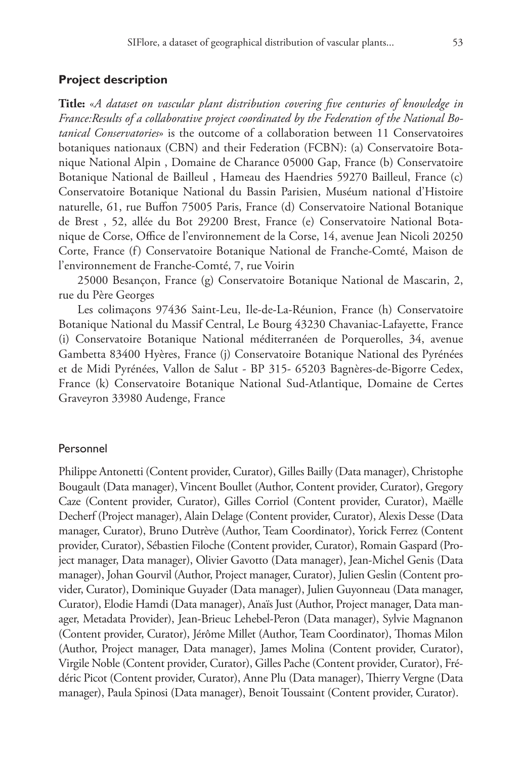## **Project description**

**Title:** «*A dataset on vascular plant distribution covering five centuries of knowledge in France:Results of a collaborative project coordinated by the Federation of the National Botanical Conservatories*» is the outcome of a collaboration between 11 Conservatoires botaniques nationaux (CBN) and their Federation (FCBN): (a) Conservatoire Botanique National Alpin , Domaine de Charance 05000 Gap, France (b) Conservatoire Botanique National de Bailleul , Hameau des Haendries 59270 Bailleul, France (c) Conservatoire Botanique National du Bassin Parisien, Muséum national d'Histoire naturelle, 61, rue Buffon 75005 Paris, France (d) Conservatoire National Botanique de Brest , 52, allée du Bot 29200 Brest, France (e) Conservatoire National Botanique de Corse, Office de l'environnement de la Corse, 14, avenue Jean Nicoli 20250 Corte, France (f) Conservatoire Botanique National de Franche-Comté, Maison de l'environnement de Franche-Comté, 7, rue Voirin

25000 Besançon, France (g) Conservatoire Botanique National de Mascarin, 2, rue du Père Georges

Les colimaçons 97436 Saint-Leu, Ile-de-La-Réunion, France (h) Conservatoire Botanique National du Massif Central, Le Bourg 43230 Chavaniac-Lafayette, France (i) Conservatoire Botanique National méditerranéen de Porquerolles, 34, avenue Gambetta 83400 Hyères, France (j) Conservatoire Botanique National des Pyrénées et de Midi Pyrénées, Vallon de Salut - BP 315- 65203 Bagnères-de-Bigorre Cedex, France (k) Conservatoire Botanique National Sud-Atlantique, Domaine de Certes Graveyron 33980 Audenge, France

#### Personnel

Philippe Antonetti (Content provider, Curator), Gilles Bailly (Data manager), Christophe Bougault (Data manager), Vincent Boullet (Author, Content provider, Curator), Gregory Caze (Content provider, Curator), Gilles Corriol (Content provider, Curator), Maëlle Decherf (Project manager), Alain Delage (Content provider, Curator), Alexis Desse (Data manager, Curator), Bruno Dutrève (Author, Team Coordinator), Yorick Ferrez (Content provider, Curator), Sébastien Filoche (Content provider, Curator), Romain Gaspard (Project manager, Data manager), Olivier Gavotto (Data manager), Jean-Michel Genis (Data manager), Johan Gourvil (Author, Project manager, Curator), Julien Geslin (Content provider, Curator), Dominique Guyader (Data manager), Julien Guyonneau (Data manager, Curator), Elodie Hamdi (Data manager), Anaïs Just (Author, Project manager, Data manager, Metadata Provider), Jean-Brieuc Lehebel-Peron (Data manager), Sylvie Magnanon (Content provider, Curator), Jérôme Millet (Author, Team Coordinator), Thomas Milon (Author, Project manager, Data manager), James Molina (Content provider, Curator), Virgile Noble (Content provider, Curator), Gilles Pache (Content provider, Curator), Frédéric Picot (Content provider, Curator), Anne Plu (Data manager), Thierry Vergne (Data manager), Paula Spinosi (Data manager), Benoit Toussaint (Content provider, Curator).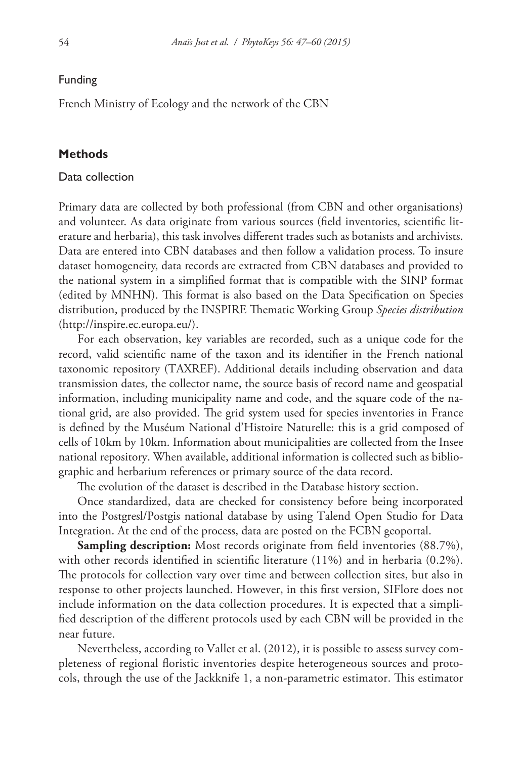## Funding

French Ministry of Ecology and the network of the CBN

## **Methods**

# Data collection

Primary data are collected by both professional (from CBN and other organisations) and volunteer. As data originate from various sources (field inventories, scientific literature and herbaria), this task involves different trades such as botanists and archivists. Data are entered into CBN databases and then follow a validation process. To insure dataset homogeneity, data records are extracted from CBN databases and provided to the national system in a simplified format that is compatible with the SINP format (edited by MNHN). This format is also based on the Data Specification on Species distribution, produced by the INSPIRE Thematic Working Group *Species distribution* ([http://inspire.ec.europa.eu/\)](http://inspire.ec.europa.eu/).

For each observation, key variables are recorded, such as a unique code for the record, valid scientific name of the taxon and its identifier in the French national taxonomic repository (TAXREF). Additional details including observation and data transmission dates, the collector name, the source basis of record name and geospatial information, including municipality name and code, and the square code of the national grid, are also provided. The grid system used for species inventories in France is defined by the Muséum National d'Histoire Naturelle: this is a grid composed of cells of 10km by 10km. Information about municipalities are collected from the Insee national repository. When available, additional information is collected such as bibliographic and herbarium references or primary source of the data record.

The evolution of the dataset is described in the Database history section.

Once standardized, data are checked for consistency before being incorporated into the Postgresl/Postgis national database by using Talend Open Studio for Data Integration. At the end of the process, data are posted on the FCBN geoportal.

**Sampling description:** Most records originate from field inventories (88.7%), with other records identified in scientific literature (11%) and in herbaria (0.2%). The protocols for collection vary over time and between collection sites, but also in response to other projects launched. However, in this first version, SIFlore does not include information on the data collection procedures. It is expected that a simplified description of the different protocols used by each CBN will be provided in the near future.

Nevertheless, according to Vallet et al. (2012), it is possible to assess survey completeness of regional floristic inventories despite heterogeneous sources and protocols, through the use of the Jackknife 1, a non-parametric estimator. This estimator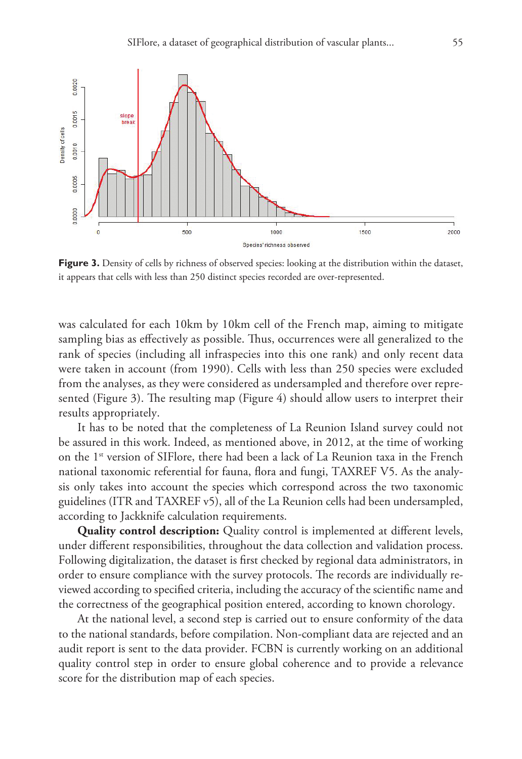

Figure 3. Density of cells by richness of observed species: looking at the distribution within the dataset, it appears that cells with less than 250 distinct species recorded are over-represented.

was calculated for each 10km by 10km cell of the French map, aiming to mitigate sampling bias as effectively as possible. Thus, occurrences were all generalized to the rank of species (including all infraspecies into this one rank) and only recent data were taken in account (from 1990). Cells with less than 250 species were excluded from the analyses, as they were considered as undersampled and therefore over represented (Figure 3). The resulting map (Figure 4) should allow users to interpret their results appropriately.

It has to be noted that the completeness of La Reunion Island survey could not be assured in this work. Indeed, as mentioned above, in 2012, at the time of working on the 1st version of SIFlore, there had been a lack of La Reunion taxa in the French national taxonomic referential for fauna, flora and fungi, TAXREF V5. As the analysis only takes into account the species which correspond across the two taxonomic guidelines (ITR and TAXREF v5), all of the La Reunion cells had been undersampled, according to Jackknife calculation requirements.

**Quality control description:** Quality control is implemented at different levels, under different responsibilities, throughout the data collection and validation process. Following digitalization, the dataset is first checked by regional data administrators, in order to ensure compliance with the survey protocols. The records are individually reviewed according to specified criteria, including the accuracy of the scientific name and the correctness of the geographical position entered, according to known chorology.

At the national level, a second step is carried out to ensure conformity of the data to the national standards, before compilation. Non-compliant data are rejected and an audit report is sent to the data provider. FCBN is currently working on an additional quality control step in order to ensure global coherence and to provide a relevance score for the distribution map of each species.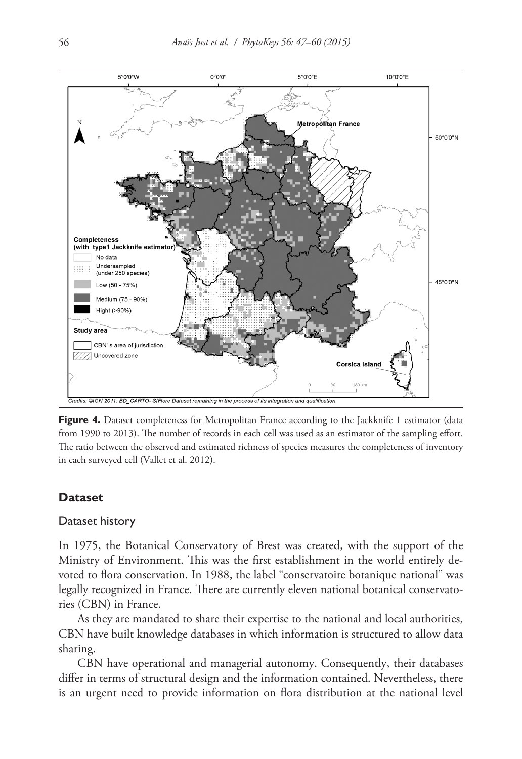

**Figure 4.** Dataset completeness for Metropolitan France according to the Jackknife 1 estimator (data from 1990 to 2013). The number of records in each cell was used as an estimator of the sampling effort. The ratio between the observed and estimated richness of species measures the completeness of inventory in each surveyed cell (Vallet et al. 2012).

## **Dataset**

## Dataset history

In 1975, the Botanical Conservatory of Brest was created, with the support of the Ministry of Environment. This was the first establishment in the world entirely devoted to flora conservation. In 1988, the label "conservatoire botanique national" was legally recognized in France. There are currently eleven national botanical conservatories (CBN) in France.

As they are mandated to share their expertise to the national and local authorities, CBN have built knowledge databases in which information is structured to allow data sharing.

CBN have operational and managerial autonomy. Consequently, their databases differ in terms of structural design and the information contained. Nevertheless, there is an urgent need to provide information on flora distribution at the national level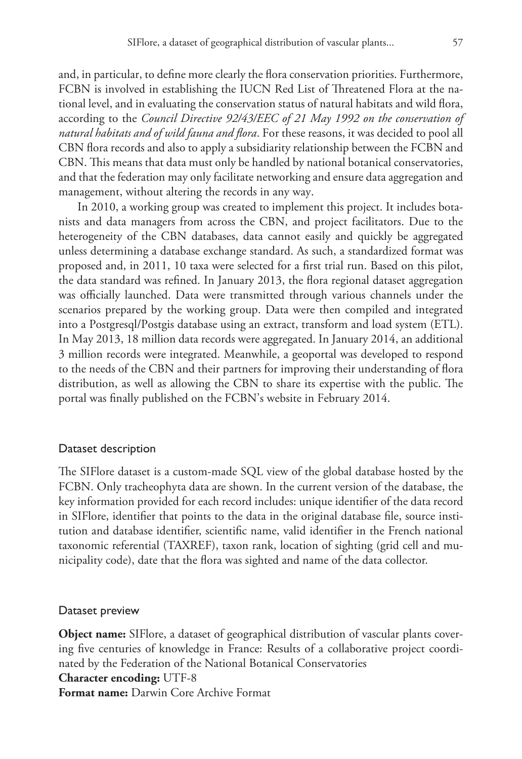and, in particular, to define more clearly the flora conservation priorities. Furthermore, FCBN is involved in establishing the IUCN Red List of Threatened Flora at the national level, and in evaluating the conservation status of natural habitats and wild flora, according to the *Council Directive 92/43/EEC of 21 May 1992 on the conservation of natural habitats and of wild fauna and flora*. For these reasons, it was decided to pool all CBN flora records and also to apply a subsidiarity relationship between the FCBN and CBN. This means that data must only be handled by national botanical conservatories, and that the federation may only facilitate networking and ensure data aggregation and management, without altering the records in any way.

In 2010, a working group was created to implement this project. It includes botanists and data managers from across the CBN, and project facilitators. Due to the heterogeneity of the CBN databases, data cannot easily and quickly be aggregated unless determining a database exchange standard. As such, a standardized format was proposed and, in 2011, 10 taxa were selected for a first trial run. Based on this pilot, the data standard was refined. In January 2013, the flora regional dataset aggregation was officially launched. Data were transmitted through various channels under the scenarios prepared by the working group. Data were then compiled and integrated into a Postgresql/Postgis database using an extract, transform and load system (ETL). In May 2013, 18 million data records were aggregated. In January 2014, an additional 3 million records were integrated. Meanwhile, a geoportal was developed to respond to the needs of the CBN and their partners for improving their understanding of flora distribution, as well as allowing the CBN to share its expertise with the public. The portal was finally published on the FCBN's website in February 2014.

## Dataset description

The SIFlore dataset is a custom-made SQL view of the global database hosted by the FCBN. Only tracheophyta data are shown. In the current version of the database, the key information provided for each record includes: unique identifier of the data record in SIFlore, identifier that points to the data in the original database file, source institution and database identifier, scientific name, valid identifier in the French national taxonomic referential (TAXREF), taxon rank, location of sighting (grid cell and municipality code), date that the flora was sighted and name of the data collector.

#### Dataset preview

**Object name:** SIFlore, a dataset of geographical distribution of vascular plants covering five centuries of knowledge in France: Results of a collaborative project coordinated by the Federation of the National Botanical Conservatories

## **Character encoding:** UTF-8

**Format name:** Darwin Core Archive Format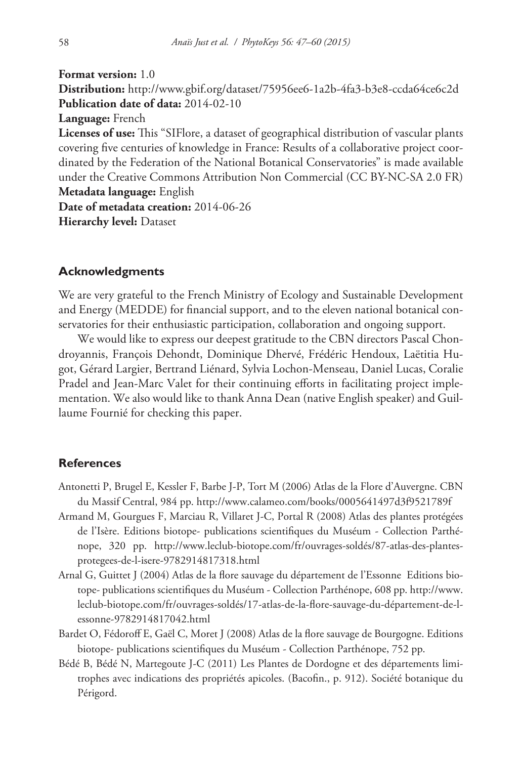**Format version:** 1.0 **Distribution:** <http://www.gbif.org/dataset/75956ee6-1a2b-4fa3-b3e8-ccda64ce6c2d> **Publication date of data:** 2014-02-10 **Language:** French

**Licenses of use:** This "SIFlore, a dataset of geographical distribution of vascular plants covering five centuries of knowledge in France: Results of a collaborative project coordinated by the Federation of the National Botanical Conservatories" is made available under the Creative Commons Attribution Non Commercial (CC BY-NC-SA 2.0 FR) **Metadata language:** English

**Date of metadata creation:** 2014-06-26 **Hierarchy level:** Dataset

## **Acknowledgments**

We are very grateful to the French Ministry of Ecology and Sustainable Development and Energy (MEDDE) for financial support, and to the eleven national botanical conservatories for their enthusiastic participation, collaboration and ongoing support.

We would like to express our deepest gratitude to the CBN directors Pascal Chondroyannis, François Dehondt, Dominique Dhervé, Frédéric Hendoux, Laëtitia Hugot, Gérard Largier, Bertrand Liénard, Sylvia Lochon-Menseau, Daniel Lucas, Coralie Pradel and Jean-Marc Valet for their continuing efforts in facilitating project implementation. We also would like to thank Anna Dean (native English speaker) and Guillaume Fournié for checking this paper.

## **References**

- Antonetti P, Brugel E, Kessler F, Barbe J-P, Tort M (2006) Atlas de la Flore d'Auvergne. CBN du Massif Central, 984 pp.<http://www.calameo.com/books/0005641497d3f9521789f>
- Armand M, Gourgues F, Marciau R, Villaret J-C, Portal R (2008) Atlas des plantes protégées de l'Isère. Editions biotope- publications scientifiques du Muséum - Collection Parthénope, 320 pp. [http://www.leclub-biotope.com/fr/ouvrages-soldés/87-atlas-des-plantes](http://www.leclub-biotope.com/fr/ouvrages-sold%C3%A9s/87-atlas-des-plantes-protegees-de-l-isere-9782914817318.html)[protegees-de-l-isere-9782914817318.html](http://www.leclub-biotope.com/fr/ouvrages-sold%C3%A9s/87-atlas-des-plantes-protegees-de-l-isere-9782914817318.html)
- Arnal G, Guittet J (2004) Atlas de la flore sauvage du département de l'Essonne Editions biotope- publications scientifiques du Muséum - Collection Parthénope, 608 pp. [http://www.](http://www.leclub-biotope.com/fr/ouvrages-sold%C3%A9s/17-atlas-de-la-flore-sauvage-du-d%C3%A9partement-de-l-essonne-9782914817042.html) [leclub-biotope.com/fr/ouvrages-soldés/17-atlas-de-la-flore-sauvage-du-département-de-l](http://www.leclub-biotope.com/fr/ouvrages-sold%C3%A9s/17-atlas-de-la-flore-sauvage-du-d%C3%A9partement-de-l-essonne-9782914817042.html)[essonne-9782914817042.html](http://www.leclub-biotope.com/fr/ouvrages-sold%C3%A9s/17-atlas-de-la-flore-sauvage-du-d%C3%A9partement-de-l-essonne-9782914817042.html)
- Bardet O, Fédoroff E, Gaël C, Moret J (2008) Atlas de la flore sauvage de Bourgogne. Editions biotope- publications scientifiques du Muséum - Collection Parthénope, 752 pp.
- Bédé B, Bédé N, Martegoute J-C (2011) Les Plantes de Dordogne et des départements limitrophes avec indications des propriétés apicoles. (Bacofin., p. 912). Société botanique du Périgord.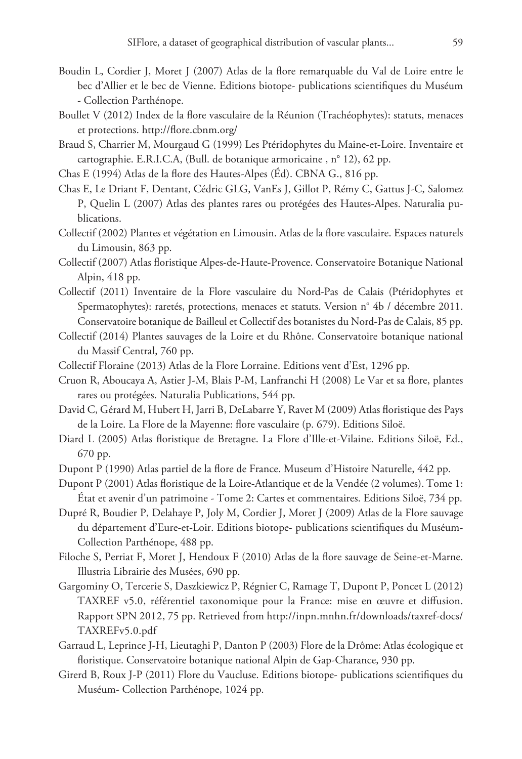- Boudin L, Cordier J, Moret J (2007) Atlas de la flore remarquable du Val de Loire entre le bec d'Allier et le bec de Vienne. Editions biotope- publications scientifiques du Muséum - Collection Parthénope.
- Boullet V (2012) Index de la flore vasculaire de la Réunion (Trachéophytes): statuts, menaces et protections.<http://flore.cbnm.org/>
- Braud S, Charrier M, Mourgaud G (1999) Les Ptéridophytes du Maine-et-Loire. Inventaire et cartographie. E.R.I.C.A, (Bull. de botanique armoricaine , n° 12), 62 pp.
- Chas E (1994) Atlas de la flore des Hautes-Alpes (Éd). CBNA G., 816 pp.
- Chas E, Le Driant F, Dentant, Cédric GLG, VanEs J, Gillot P, Rémy C, Gattus J-C, Salomez P, Quelin L (2007) Atlas des plantes rares ou protégées des Hautes-Alpes. Naturalia publications.
- Collectif (2002) Plantes et végétation en Limousin. Atlas de la flore vasculaire. Espaces naturels du Limousin, 863 pp.
- Collectif (2007) Atlas floristique Alpes-de-Haute-Provence. Conservatoire Botanique National Alpin, 418 pp.
- Collectif (2011) Inventaire de la Flore vasculaire du Nord-Pas de Calais (Ptéridophytes et Spermatophytes): raretés, protections, menaces et statuts. Version n° 4b / décembre 2011. Conservatoire botanique de Bailleul et Collectif des botanistes du Nord-Pas de Calais, 85 pp.
- Collectif (2014) Plantes sauvages de la Loire et du Rhône. Conservatoire botanique national du Massif Central, 760 pp.
- Collectif Floraine (2013) Atlas de la Flore Lorraine. Editions vent d'Est, 1296 pp.
- Cruon R, Aboucaya A, Astier J-M, Blais P-M, Lanfranchi H (2008) Le Var et sa flore, plantes rares ou protégées. Naturalia Publications, 544 pp.
- David C, Gérard M, Hubert H, Jarri B, DeLabarre Y, Ravet M (2009) Atlas floristique des Pays de la Loire. La Flore de la Mayenne: flore vasculaire (p. 679). Editions Siloë.
- Diard L (2005) Atlas floristique de Bretagne. La Flore d'Ille-et-Vilaine. Editions Siloë, Ed., 670 pp.
- Dupont P (1990) Atlas partiel de la flore de France. Museum d'Histoire Naturelle, 442 pp.

Dupont P (2001) Atlas floristique de la Loire-Atlantique et de la Vendée (2 volumes). Tome 1: État et avenir d'un patrimoine - Tome 2: Cartes et commentaires. Editions Siloë, 734 pp.

- Dupré R, Boudier P, Delahaye P, Joly M, Cordier J, Moret J (2009) Atlas de la Flore sauvage du département d'Eure-et-Loir. Editions biotope- publications scientifiques du Muséum-Collection Parthénope, 488 pp.
- Filoche S, Perriat F, Moret J, Hendoux F (2010) Atlas de la flore sauvage de Seine-et-Marne. Illustria Librairie des Musées, 690 pp.
- Gargominy O, Tercerie S, Daszkiewicz P, Régnier C, Ramage T, Dupont P, Poncet L (2012) TAXREF v5.0, référentiel taxonomique pour la France: mise en œuvre et diffusion. Rapport SPN 2012, 75 pp. Retrieved from [http://inpn.mnhn.fr/downloads/taxref-docs/](http://inpn.mnhn.fr/downloads/taxref-docs/TAXREFv5.0.pdf) [TAXREFv5.0.pdf](http://inpn.mnhn.fr/downloads/taxref-docs/TAXREFv5.0.pdf)
- Garraud L, Leprince J-H, Lieutaghi P, Danton P (2003) Flore de la Drôme: Atlas écologique et floristique. Conservatoire botanique national Alpin de Gap-Charance, 930 pp.
- Girerd B, Roux J-P (2011) Flore du Vaucluse. Editions biotope- publications scientifiques du Muséum- Collection Parthénope, 1024 pp.